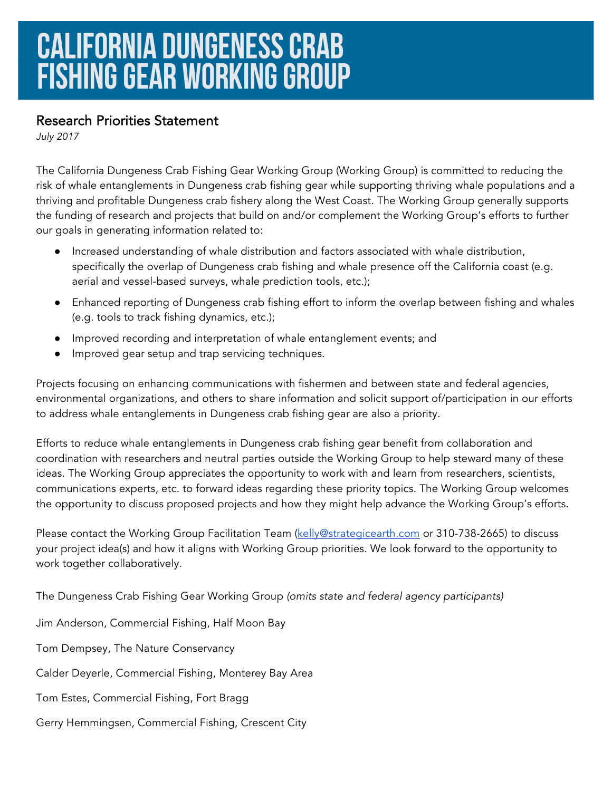## Research Priorities Statement

*July 2017* 

The California Dungeness Crab Fishing Gear Working Group (Working Group) is committed to reducing the risk of whale entanglements in Dungeness crab fishing gear while supporting thriving whale populations and a thriving and profitable Dungeness crab fishery along the West Coast. The Working Group generally supports the funding of research and projects that build on and/or complement the Working Group's efforts to further our goals in generating information related to:

- Increased understanding of whale distribution and factors associated with whale distribution, specifically the overlap of Dungeness crab fishing and whale presence off the California coast (e.g. aerial and vessel-based surveys, whale prediction tools, etc.);
- Enhanced reporting of Dungeness crab fishing effort to inform the overlap between fishing and whales (e.g. tools to track fishing dynamics, etc.);
- Improved recording and interpretation of whale entanglement events; and
- Improved gear setup and trap servicing techniques.

Projects focusing on enhancing communications with fishermen and between state and federal agencies, environmental organizations, and others to share information and solicit support of/participation in our efforts to address whale entanglements in Dungeness crab fishing gear are also a priority.

Efforts to reduce whale entanglements in Dungeness crab fishing gear benefit from collaboration and coordination with researchers and neutral parties outside the Working Group to help steward many of these ideas. The Working Group appreciates the opportunity to work with and learn from researchers, scientists, communications experts, etc. to forward ideas regarding these priority topics. The Working Group welcomes the opportunity to discuss proposed projects and how they might help advance the Working Group's efforts.

Please contact the Working Group Facilitation Team (kelly@strategicearth.com or 310-738-2665) to discuss your project idea(s) and how it aligns with Working Group priorities. We look forward to the opportunity to work together collaboratively.

The Dungeness Crab Fishing Gear Working Group *(omits state and federal agency participants)* 

Jim Anderson, Commercial Fishing, Half Moon Bay

Tom Dempsey, The Nature Conservancy

Calder Deyerle, Commercial Fishing, Monterey Bay Area

Tom Estes, Commercial Fishing, Fort Bragg

Gerry Hemmingsen, Commercial Fishing, Crescent City